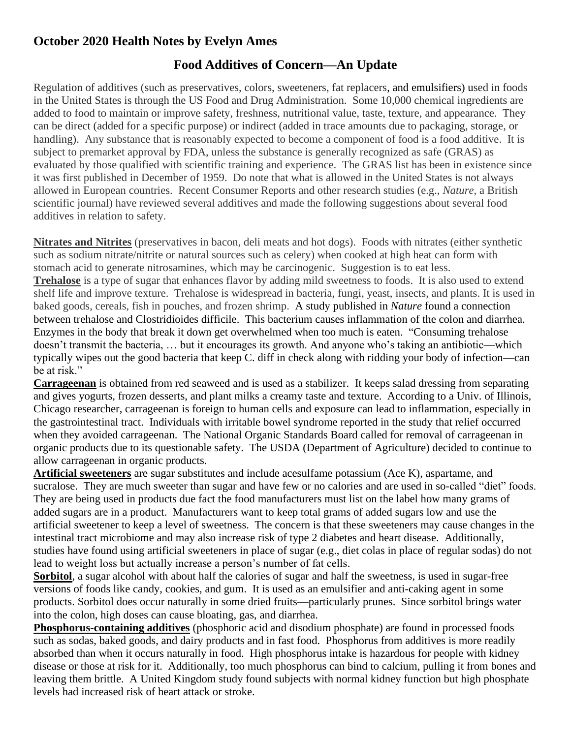## **October 2020 Health Notes by Evelyn Ames**

## **Food Additives of Concern—An Update**

Regulation of additives (such as preservatives, colors, sweeteners, fat replacers, and emulsifiers) used in foods in the United States is through the US Food and Drug Administration. Some 10,000 chemical ingredients are added to food to maintain or improve safety, freshness, nutritional value, taste, texture, and appearance. They can be direct (added for a specific purpose) or indirect (added in trace amounts due to packaging, storage, or handling). Any substance that is reasonably expected to become a component of food is a food additive. It is subject to premarket approval by FDA, unless the substance is generally recognized as safe (GRAS) as evaluated by those qualified with scientific training and experience. The GRAS list has been in existence since it was first published in December of 1959. Do note that what is allowed in the United States is not always allowed in European countries. Recent Consumer Reports and other research studies (e.g., *Nature*, a British scientific journal) have reviewed several additives and made the following suggestions about several food additives in relation to safety.

**Nitrates and Nitrites** (preservatives in bacon, deli meats and hot dogs). Foods with nitrates (either synthetic such as sodium nitrate/nitrite or natural sources such as celery) when cooked at high heat can form with stomach acid to generate nitrosamines, which may be carcinogenic. Suggestion is to eat less. **Trehalose** is a type of sugar that enhances flavor by adding mild sweetness to foods. It is also used to extend shelf life and improve texture. Trehalose is widespread in bacteria, fungi, yeast, insects, and plants. It is used in baked goods, cereals, fish in pouches, and frozen shrimp. A study published in *Nature* found a connection between trehalose and Clostridioides difficile. This bacterium causes inflammation of the colon and diarrhea. Enzymes in the body that break it down get overwhelmed when too much is eaten. "Consuming trehalose doesn't transmit the bacteria, … but it encourages its growth. And anyone who's taking an antibiotic—which typically wipes out the good bacteria that keep C. diff in check along with ridding your body of infection—can be at risk."

**Carrageenan** is obtained from red seaweed and is used as a stabilizer. It keeps salad dressing from separating and gives yogurts, frozen desserts, and plant milks a creamy taste and texture. According to a Univ. of Illinois, Chicago researcher, carrageenan is foreign to human cells and exposure can lead to inflammation, especially in the gastrointestinal tract. Individuals with irritable bowel syndrome reported in the study that relief occurred when they avoided carrageenan. The National Organic Standards Board called for removal of carrageenan in organic products due to its questionable safety. The USDA (Department of Agriculture) decided to continue to allow carrageenan in organic products.

**Artificial sweeteners** are sugar substitutes and include acesulfame potassium (Ace K), aspartame, and sucralose. They are much sweeter than sugar and have few or no calories and are used in so-called "diet" foods. They are being used in products due fact the food manufacturers must list on the label how many grams of added sugars are in a product. Manufacturers want to keep total grams of added sugars low and use the artificial sweetener to keep a level of sweetness. The concern is that these sweeteners may cause changes in the intestinal tract microbiome and may also increase risk of type 2 diabetes and heart disease. Additionally, studies have found using artificial sweeteners in place of sugar (e.g., diet colas in place of regular sodas) do not lead to weight loss but actually increase a person's number of fat cells.

**Sorbitol**, a sugar alcohol with about half the calories of sugar and half the sweetness, is used in sugar-free versions of foods like candy, cookies, and gum. It is used as an emulsifier and anti-caking agent in some products. Sorbitol does occur naturally in some dried fruits—particularly prunes. Since sorbitol brings water into the colon, high doses can cause bloating, gas, and diarrhea.

**Phosphorus-containing additives** (phosphoric acid and disodium phosphate) are found in processed foods such as sodas, baked goods, and dairy products and in fast food. Phosphorus from additives is more readily absorbed than when it occurs naturally in food. High phosphorus intake is hazardous for people with kidney disease or those at risk for it. Additionally, too much phosphorus can bind to calcium, pulling it from bones and leaving them brittle. A United Kingdom study found subjects with normal kidney function but high phosphate levels had increased risk of heart attack or stroke.